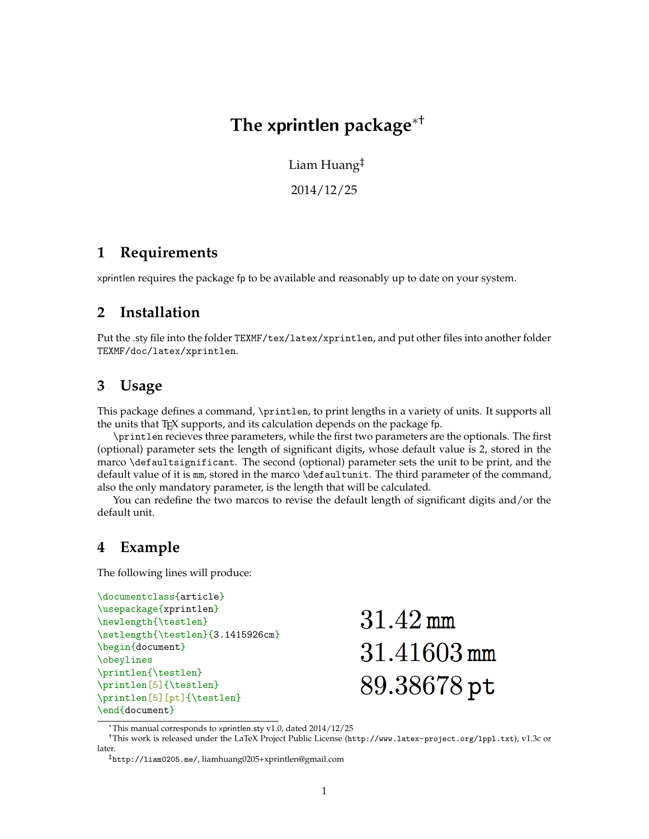# **The** xprintlen **package**∗†

Liam Huang‡

2014/12/25

#### **1 Requirements**

xprintlen requires the package fp to be available and reasonably up to date on your system.

## **2 Installation**

Put the .sty file into the folder TEXMF/tex/latex/xprintlen, and put other files into another folder TEXMF/doc/latex/xprintlen.

## **3 Usage**

This package defines a command, \printlen, to print lengths in a variety of units. It supports all the units that T<sub>F</sub>X supports, and its calculation depends on the package fp.

\printlen recieves three parameters, while the first two parameters are the optionals. The first (optional) parameter sets the length of significant digits, whose default value is 2, stored in the marco \defaultsignificant. The second (optional) parameter sets the unit to be print, and the default value of it is mm, stored in the marco \defaultunit. The third parameter of the command, also the only mandatory parameter, is the length that will be calculated.

You can redefine the two marcos to revise the default length of significant digits and/or the default unit.

#### **4 Example**

The following lines will produce:

```
\documentclass{article}
\usepackage{xprintlen}
\newlength{\testlen}
\setlength{\testlen}{3.1415926cm}
\begin{document}
\obeylines
\printlen{\testlen}
\printlen[5]{\testlen}
\printlen[5][pt]{\testlen}
\end{document}
```
 $31.42 \,\mathrm{mm}$ 31.41603 mm 89.38678 pt

<sup>∗</sup>This manual corresponds to xprintlen.sty v1.0, dated 2014/12/25

<sup>†</sup>This work is released under the LaTeX Project Public License (<http://www.latex-project.org/lppl.txt>), v1.3c or later.

<sup>‡</sup><http://liam0205.me/>, [liamhuang0205+xprintlen@gmail.com](mailto:liamhuang0205+xprintlen@gmail.com)